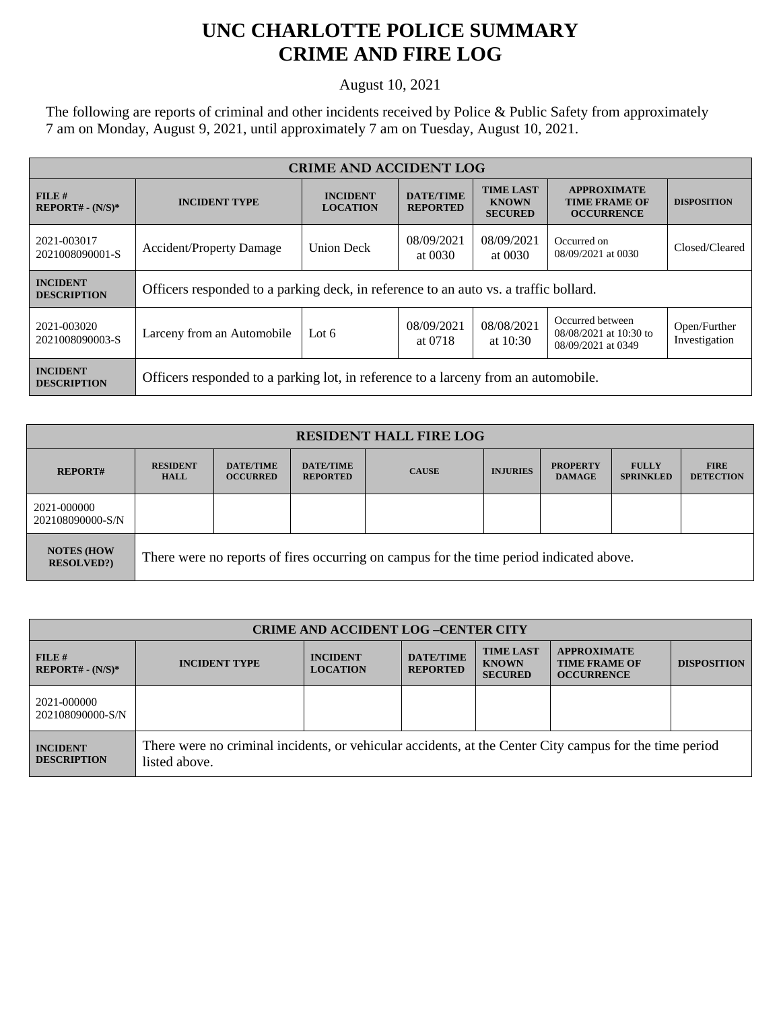## **UNC CHARLOTTE POLICE SUMMARY CRIME AND FIRE LOG**

August 10, 2021

The following are reports of criminal and other incidents received by Police & Public Safety from approximately 7 am on Monday, August 9, 2021, until approximately 7 am on Tuesday, August 10, 2021.

| <b>CRIME AND ACCIDENT LOG</b>         |                                                                                      |                   |                                     |                                                    |                                                                  |                               |
|---------------------------------------|--------------------------------------------------------------------------------------|-------------------|-------------------------------------|----------------------------------------------------|------------------------------------------------------------------|-------------------------------|
| FILE#<br>$REPORT# - (N/S)*$           | <b>INCIDENT</b><br><b>INCIDENT TYPE</b><br><b>LOCATION</b>                           |                   | <b>DATE/TIME</b><br><b>REPORTED</b> | <b>TIME LAST</b><br><b>KNOWN</b><br><b>SECURED</b> | <b>APPROXIMATE</b><br><b>TIME FRAME OF</b><br><b>OCCURRENCE</b>  | <b>DISPOSITION</b>            |
| 2021-003017<br>2021008090001-S        | <b>Accident/Property Damage</b>                                                      | <b>Union Deck</b> | 08/09/2021<br>at 0030               | 08/09/2021<br>at 0030                              | Occurred on<br>08/09/2021 at 0030                                | Closed/Cleared                |
| <b>INCIDENT</b><br><b>DESCRIPTION</b> | Officers responded to a parking deck, in reference to an auto vs. a traffic bollard. |                   |                                     |                                                    |                                                                  |                               |
| 2021-003020<br>2021008090003-S        | Larceny from an Automobile                                                           | Lot $6$           | 08/09/2021<br>at 0718               | 08/08/2021<br>at $10:30$                           | Occurred between<br>08/08/2021 at 10:30 to<br>08/09/2021 at 0349 | Open/Further<br>Investigation |
| <b>INCIDENT</b><br><b>DESCRIPTION</b> | Officers responded to a parking lot, in reference to a larceny from an automobile.   |                   |                                     |                                                    |                                                                  |                               |

| <b>RESIDENT HALL FIRE LOG</b>          |                                                                                         |                                     |                                     |              |                 |                                  |                                  |                                 |
|----------------------------------------|-----------------------------------------------------------------------------------------|-------------------------------------|-------------------------------------|--------------|-----------------|----------------------------------|----------------------------------|---------------------------------|
| <b>REPORT#</b>                         | <b>RESIDENT</b><br><b>HALL</b>                                                          | <b>DATE/TIME</b><br><b>OCCURRED</b> | <b>DATE/TIME</b><br><b>REPORTED</b> | <b>CAUSE</b> | <b>INJURIES</b> | <b>PROPERTY</b><br><b>DAMAGE</b> | <b>FULLY</b><br><b>SPRINKLED</b> | <b>FIRE</b><br><b>DETECTION</b> |
| 2021-000000<br>202108090000-S/N        |                                                                                         |                                     |                                     |              |                 |                                  |                                  |                                 |
| <b>NOTES (HOW</b><br><b>RESOLVED?)</b> | There were no reports of fires occurring on campus for the time period indicated above. |                                     |                                     |              |                 |                                  |                                  |                                 |

| <b>CRIME AND ACCIDENT LOG -CENTER CITY</b> |                                                                                                                          |                                    |                                     |                                                    |                                                                 |                    |
|--------------------------------------------|--------------------------------------------------------------------------------------------------------------------------|------------------------------------|-------------------------------------|----------------------------------------------------|-----------------------------------------------------------------|--------------------|
| FILE H<br>$REPORT# - (N/S)*$               | <b>INCIDENT TYPE</b>                                                                                                     | <b>INCIDENT</b><br><b>LOCATION</b> | <b>DATE/TIME</b><br><b>REPORTED</b> | <b>TIME LAST</b><br><b>KNOWN</b><br><b>SECURED</b> | <b>APPROXIMATE</b><br><b>TIME FRAME OF</b><br><b>OCCURRENCE</b> | <b>DISPOSITION</b> |
| 2021-000000<br>202108090000-S/N            |                                                                                                                          |                                    |                                     |                                                    |                                                                 |                    |
| <b>INCIDENT</b><br><b>DESCRIPTION</b>      | There were no criminal incidents, or vehicular accidents, at the Center City campus for the time period<br>listed above. |                                    |                                     |                                                    |                                                                 |                    |